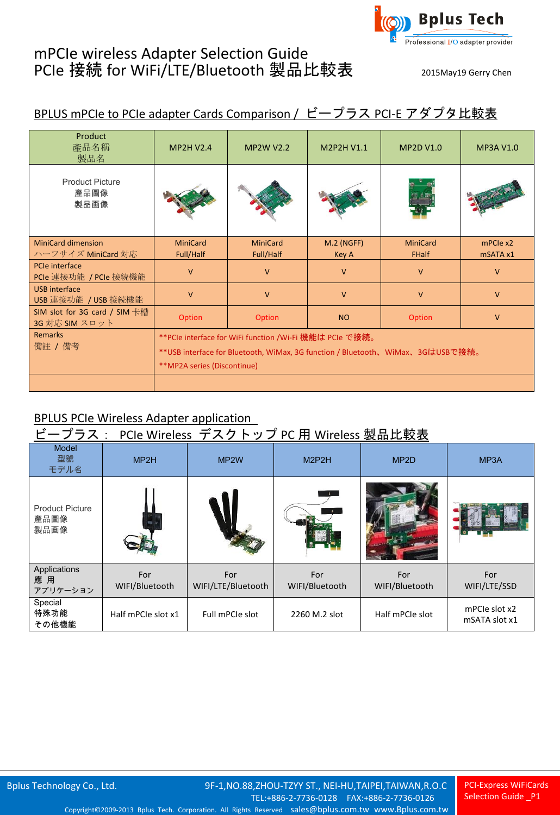

## mPCIe wireless Adapter Selection Guide PCIe 接続 for WiFi/LTE/Bluetooth 製品比較表 2015May19 Gerry Chen

## BPLUS mPCIe to PCIe adapter Cards Comparison / ビープラス PCI-E アダプタ比較表

| Product<br>產品名稱<br>製品名                          | <b>MP2H V2.4</b>                                                               | <b>MP2W V2.2</b>                                        | M2P2H V1.1   | <b>MP2D V1.0</b> | <b>MP3A V1.0</b> |
|-------------------------------------------------|--------------------------------------------------------------------------------|---------------------------------------------------------|--------------|------------------|------------------|
| <b>Product Picture</b><br>產品圖像<br>製品画像          |                                                                                |                                                         |              |                  |                  |
| <b>MiniCard dimension</b>                       | <b>MiniCard</b>                                                                | <b>MiniCard</b>                                         | $M.2$ (NGFF) | <b>MiniCard</b>  | mPCle x2         |
| ハーフサイズ MiniCard 対応                              | Full/Half                                                                      | Full/Half                                               | Key A        | <b>FHalf</b>     | mSATA x1         |
| PCIe interface<br>PCIe 連接功能 / PCIe 接続機能         | $\vee$                                                                         | $\vee$                                                  | $\vee$       | $\mathsf{V}$     | $\vee$           |
| <b>USB</b> interface<br>USB 連接功能 / USB 接続機能     | $\mathsf{V}$                                                                   | $\vee$                                                  | $\vee$       | $\mathsf{V}$     | V                |
| SIM slot for 3G card / SIM 卡槽<br>3G 対応 SIM スロット | Option                                                                         | <b>Option</b>                                           | <b>NO</b>    | <b>Option</b>    | V                |
| <b>Remarks</b>                                  |                                                                                | **PCIe interface for WiFi function /Wi-Fi 機能は PCIe で接続。 |              |                  |                  |
| 備註 / 備考                                         | **USB interface for Bluetooth, WiMax, 3G function / Bluetooth、WiMax、3GはUSBで接続。 |                                                         |              |                  |                  |
|                                                 | **MP2A series (Discontinue)                                                    |                                                         |              |                  |                  |
|                                                 |                                                                                |                                                         |              |                  |                  |

#### BPLUS PCIe Wireless Adapter application

## ビープラス: PCIe Wireless デスクトップ PC 用 Wireless 製品比較表

| .                                      | $\sim$                |                           |                                 |                       |                                |
|----------------------------------------|-----------------------|---------------------------|---------------------------------|-----------------------|--------------------------------|
| Model<br>型號<br>モデル名                    | MP <sub>2H</sub>      | MP <sub>2</sub> W         | M <sub>2</sub> P <sub>2</sub> H | MP <sub>2</sub> D     | MP3A                           |
| <b>Product Picture</b><br>產品圖像<br>製品画像 |                       |                           |                                 |                       |                                |
| Applications<br>應用<br>アプリケーション         | For<br>WIFI/Bluetooth | For<br>WIFI/LTE/Bluetooth | For<br>WIFI/Bluetooth           | For<br>WIFI/Bluetooth | For<br>WIFI/LTE/SSD            |
| Special<br>特殊功能<br>その他機能               | Half mPCIe slot x1    | Full mPCIe slot           | 2260 M.2 slot                   | Half mPCIe slot       | mPCIe slot x2<br>mSATA slot x1 |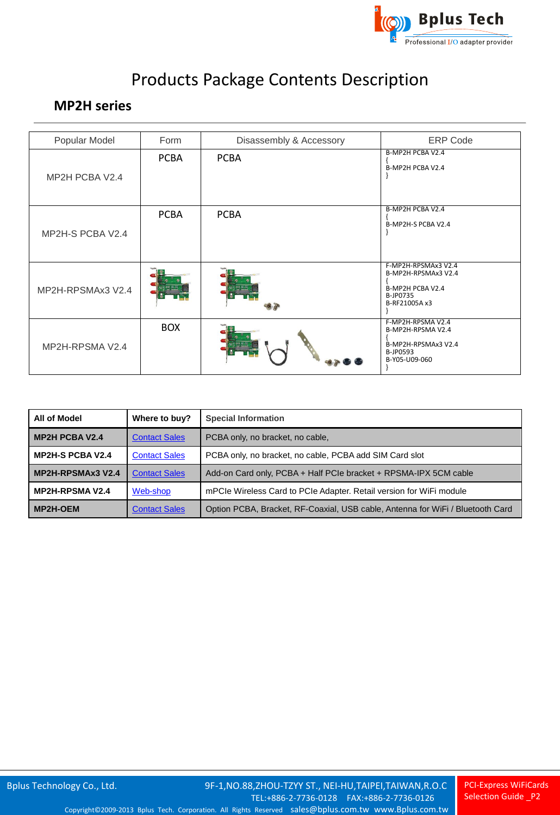

# Products Package Contents Description

#### **MP2H series**

| Popular Model     | Form        | Disassembly & Accessory | <b>ERP Code</b>                                                                                    |
|-------------------|-------------|-------------------------|----------------------------------------------------------------------------------------------------|
| MP2H PCBA V2.4    | <b>PCBA</b> | <b>PCBA</b>             | B-MP2H PCBA V2.4<br>B-MP2H PCBA V2.4                                                               |
| MP2H-S PCBA V2.4  | <b>PCBA</b> | <b>PCBA</b>             | B-MP2H PCBA V2.4<br>B-MP2H-S PCBA V2.4                                                             |
| MP2H-RPSMAx3 V2.4 |             |                         | F-MP2H-RPSMAx3 V2.4<br>B-MP2H-RPSMAx3 V2.4<br>B-MP2H PCBA V2.4<br><b>B-JP0735</b><br>B-RF21005A x3 |
| MP2H-RPSMA V2.4   | <b>BOX</b>  |                         | F-MP2H-RPSMA V2.4<br>B-MP2H-RPSMA V2.4<br>B-MP2H-RPSMAx3 V2.4<br>B-JP0593<br>B-Y05-U09-060         |

| <b>All of Model</b>     | Where to buy?        | <b>Special Information</b>                                                     |
|-------------------------|----------------------|--------------------------------------------------------------------------------|
| <b>MP2H PCBA V2.4</b>   | <b>Contact Sales</b> | PCBA only, no bracket, no cable,                                               |
| <b>MP2H-S PCBA V2.4</b> | <b>Contact Sales</b> | PCBA only, no bracket, no cable, PCBA add SIM Card slot                        |
| MP2H-RPSMAx3 V2.4       | <b>Contact Sales</b> | Add-on Card only, PCBA + Half PCIe bracket + RPSMA-IPX 5CM cable               |
| <b>MP2H-RPSMA V2.4</b>  | Web-shop             | mPCIe Wireless Card to PCIe Adapter. Retail version for WiFi module            |
| MP2H-OEM                | <b>Contact Sales</b> | Option PCBA, Bracket, RF-Coaxial, USB cable, Antenna for WiFi / Bluetooth Card |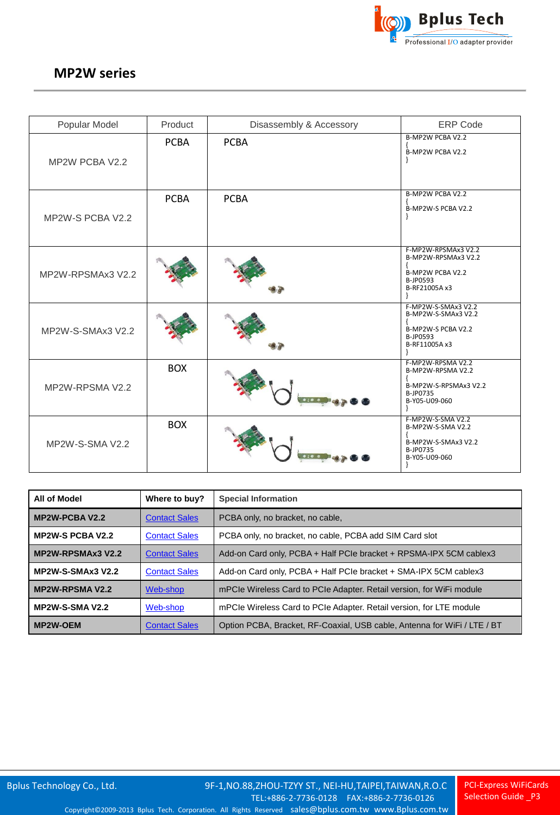

| Popular Model     | Product     | Disassembly & Accessory | <b>ERP Code</b>                                                                               |
|-------------------|-------------|-------------------------|-----------------------------------------------------------------------------------------------|
| MP2W PCBA V2.2    | <b>PCBA</b> | <b>PCBA</b>             | B-MP2W PCBA V2.2<br>B-MP2W PCBA V2.2                                                          |
| MP2W-S PCBA V2.2  | <b>PCBA</b> | <b>PCBA</b>             | B-MP2W PCBA V2.2<br>B-MP2W-S PCBA V2.2                                                        |
| MP2W-RPSMAx3 V2.2 |             |                         | F-MP2W-RPSMAx3 V2.2<br>B-MP2W-RPSMAx3 V2.2<br>B-MP2W PCBA V2.2<br>B-JP0593<br>B-RF21005A x3   |
| MP2W-S-SMAx3 V2.2 |             |                         | F-MP2W-S-SMAx3 V2.2<br>B-MP2W-S-SMAx3 V2.2<br>B-MP2W-S PCBA V2.2<br>B-JP0593<br>B-RF11005A x3 |
| MP2W-RPSMA V2.2   | <b>BOX</b>  |                         | F-MP2W-RPSMA V2.2<br>B-MP2W-RPSMA V2.2<br>B-MP2W-S-RPSMAx3 V2.2<br>B-JP0735<br>B-Y05-U09-060  |
| MP2W-S-SMA V2.2   | <b>BOX</b>  |                         | F-MP2W-S-SMA V2.2<br>B-MP2W-S-SMA V2.2<br>B-MP2W-S-SMAx3 V2.2<br>B-JP0735<br>B-Y05-U09-060    |

| All of Model             | Where to buy?        | <b>Special Information</b>                                               |
|--------------------------|----------------------|--------------------------------------------------------------------------|
| <b>MP2W-PCBA V2.2</b>    | <b>Contact Sales</b> | PCBA only, no bracket, no cable,                                         |
| <b>MP2W-S PCBA V2.2</b>  | <b>Contact Sales</b> | PCBA only, no bracket, no cable, PCBA add SIM Card slot                  |
| <b>MP2W-RPSMAx3 V2.2</b> | <b>Contact Sales</b> | Add-on Card only, PCBA + Half PCIe bracket + RPSMA-IPX 5CM cablex3       |
| <b>MP2W-S-SMAx3 V2.2</b> | <b>Contact Sales</b> | Add-on Card only, PCBA + Half PCIe bracket + SMA-IPX 5CM cablex3         |
| <b>MP2W-RPSMA V2.2</b>   | Web-shop             | mPCIe Wireless Card to PCIe Adapter. Retail version, for WiFi module     |
| <b>MP2W-S-SMA V2.2</b>   | Web-shop             | mPCIe Wireless Card to PCIe Adapter. Retail version, for LTE module      |
| <b>MP2W-OEM</b>          | <b>Contact Sales</b> | Option PCBA, Bracket, RF-Coaxial, USB cable, Antenna for WiFi / LTE / BT |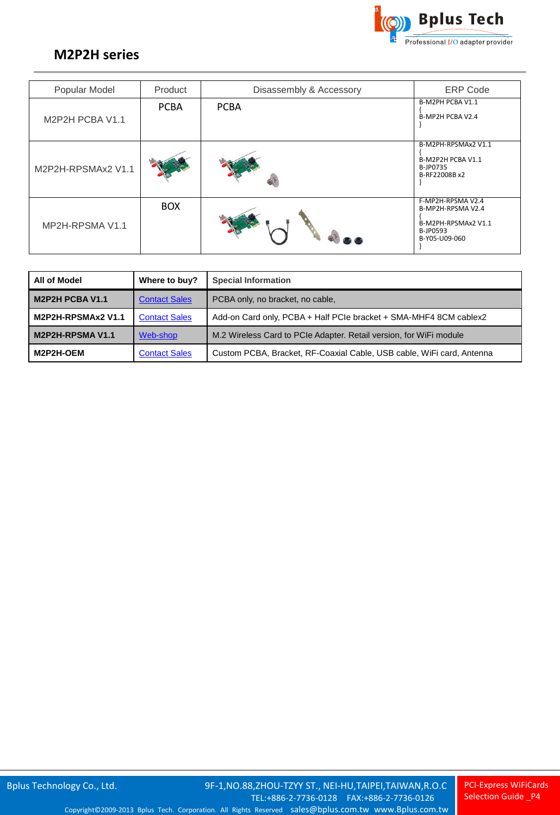

### **M2P2H series**

| Popular Model      | Product     | Disassembly & Accessory | <b>ERP Code</b>                                                                            |
|--------------------|-------------|-------------------------|--------------------------------------------------------------------------------------------|
| M2P2H PCBA V1.1    | <b>PCBA</b> | <b>PCBA</b>             | B-M2PH PCBA V1.1<br>B-MP2H PCBA V2.4                                                       |
| M2P2H-RPSMAx2 V1.1 |             |                         | B-M2PH-RPSMAx2 V1.1<br>B-M2P2H PCBA V1.1<br>B-JP0735<br>B-RF22008B x2                      |
| MP2H-RPSMA V1.1    | <b>BOX</b>  |                         | F-MP2H-RPSMA V2.4<br>B-MP2H-RPSMA V2.4<br>B-M2PH-RPSMAx2 V1.1<br>B-JP0593<br>B-Y05-U09-060 |

| <b>All of Model</b> | Where to buy?        | <b>Special Information</b>                                            |
|---------------------|----------------------|-----------------------------------------------------------------------|
| M2P2H PCBA V1.1     | <b>Contact Sales</b> | PCBA only, no bracket, no cable,                                      |
| M2P2H-RPSMAx2 V1.1  | <b>Contact Sales</b> | Add-on Card only, PCBA + Half PCIe bracket + SMA-MHF4 8CM cablex2     |
| M2P2H-RPSMA V1.1    | Web-shop             | M.2 Wireless Card to PCIe Adapter. Retail version, for WiFi module    |
| M2P2H-OEM           | <b>Contact Sales</b> | Custom PCBA, Bracket, RF-Coaxial Cable, USB cable, WiFi card, Antenna |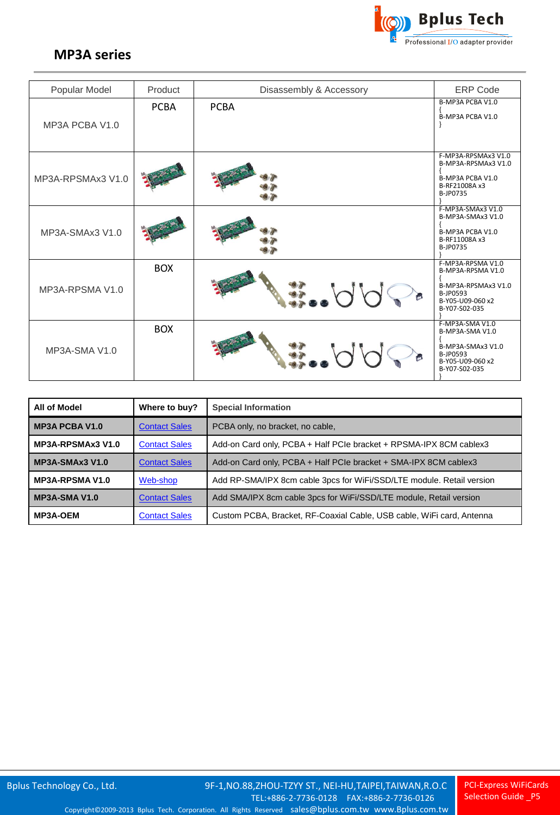

#### **MP3A series**

| Popular Model     | Product     | Disassembly & Accessory | <b>ERP Code</b>                                                                                                |
|-------------------|-------------|-------------------------|----------------------------------------------------------------------------------------------------------------|
| MP3A PCBA V1.0    | <b>PCBA</b> | <b>PCBA</b>             | B-MP3A PCBA V1.0<br>B-MP3A PCBA V1.0                                                                           |
| MP3A-RPSMAx3 V1.0 |             |                         | F-MP3A-RPSMAx3 V1.0<br>B-MP3A-RPSMAx3 V1.0<br>B-MP3A PCBA V1.0<br>B-RF21008A x3<br>B-JP0735                    |
| MP3A-SMAx3 V1.0   |             |                         | F-MP3A-SMAx3 V1.0<br>B-MP3A-SMAx3 V1.0<br>B-MP3A PCBA V1.0<br>B-RF11008A x3<br>B-JP0735                        |
| MP3A-RPSMA V1.0   | <b>BOX</b>  | SOQ                     | F-MP3A-RPSMA V1.0<br>B-MP3A-RPSMA V1.0<br>B-MP3A-RPSMAx3 V1.0<br>B-JP0593<br>B-Y05-U09-060 x2<br>B-Y07-S02-035 |
| MP3A-SMA V1.0     | <b>BOX</b>  | $N_{c}$                 | F-MP3A-SMA V1.0<br>B-MP3A-SMA V1.0<br>B-MP3A-SMAx3 V1.0<br>B-JP0593<br>B-Y05-U09-060 x2<br>B-Y07-S02-035       |

| <b>All of Model</b>    | Where to buy?        | <b>Special Information</b>                                            |
|------------------------|----------------------|-----------------------------------------------------------------------|
| <b>MP3A PCBA V1.0</b>  | <b>Contact Sales</b> | PCBA only, no bracket, no cable,                                      |
| MP3A-RPSMAx3 V1.0      | <b>Contact Sales</b> | Add-on Card only, PCBA + Half PCIe bracket + RPSMA-IPX 8CM cablex3    |
| <b>MP3A-SMAx3 V1.0</b> | <b>Contact Sales</b> | Add-on Card only, PCBA + Half PCIe bracket + SMA-IPX 8CM cablex3      |
| <b>MP3A-RPSMA V1.0</b> | Web-shop             | Add RP-SMA/IPX 8cm cable 3pcs for WiFi/SSD/LTE module. Retail version |
| <b>MP3A-SMA V1.0</b>   | <b>Contact Sales</b> | Add SMA/IPX 8cm cable 3pcs for WiFi/SSD/LTE module, Retail version    |
| <b>MP3A-OEM</b>        | <b>Contact Sales</b> | Custom PCBA, Bracket, RF-Coaxial Cable, USB cable, WiFi card, Antenna |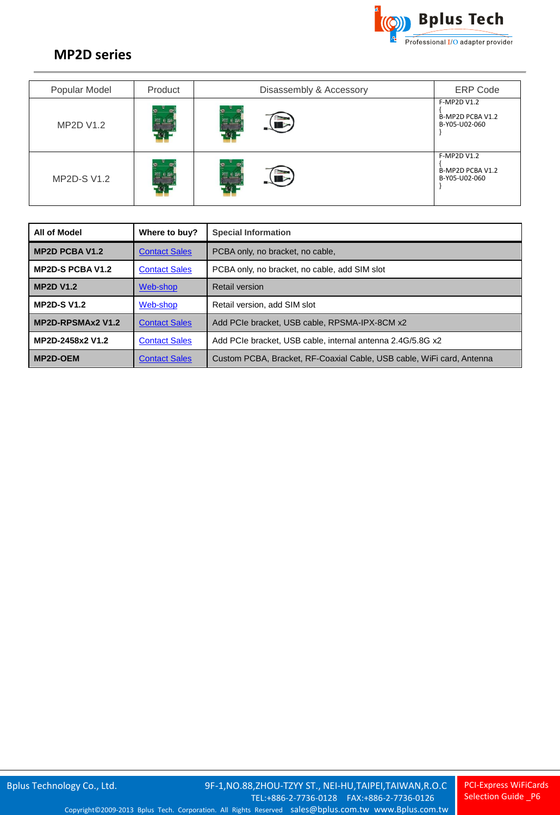

## **MP2D series**

| Popular Model | Product | Disassembly & Accessory         | <b>ERP Code</b>                                  |
|---------------|---------|---------------------------------|--------------------------------------------------|
| MP2D V1.2     | 温卡里     | $\blacksquare$<br><b>加盟 总图片</b> | F-MP2D V1.2<br>B-MP2D PCBA V1.2<br>B-Y05-U02-060 |
| MP2D-S V1.2   | 温长期     | $\mathbf{E}$<br>哪毛脚             | F-MP2D V1.2<br>B-MP2D PCBA V1.2<br>B-Y05-U02-060 |

| <b>All of Model</b>     | Where to buy?        | <b>Special Information</b>                                            |
|-------------------------|----------------------|-----------------------------------------------------------------------|
| <b>MP2D PCBA V1.2</b>   | <b>Contact Sales</b> | PCBA only, no bracket, no cable,                                      |
| <b>MP2D-S PCBA V1.2</b> | <b>Contact Sales</b> | PCBA only, no bracket, no cable, add SIM slot                         |
| <b>MP2D V1.2</b>        | Web-shop             | Retail version                                                        |
| <b>MP2D-SV1.2</b>       | Web-shop             | Retail version, add SIM slot                                          |
| MP2D-RPSMAx2 V1.2       | <b>Contact Sales</b> | Add PCIe bracket, USB cable, RPSMA-IPX-8CM x2                         |
| MP2D-2458x2 V1.2        | <b>Contact Sales</b> | Add PCIe bracket, USB cable, internal antenna 2.4G/5.8G x2            |
| MP2D-OEM                | <b>Contact Sales</b> | Custom PCBA, Bracket, RF-Coaxial Cable, USB cable, WiFi card, Antenna |